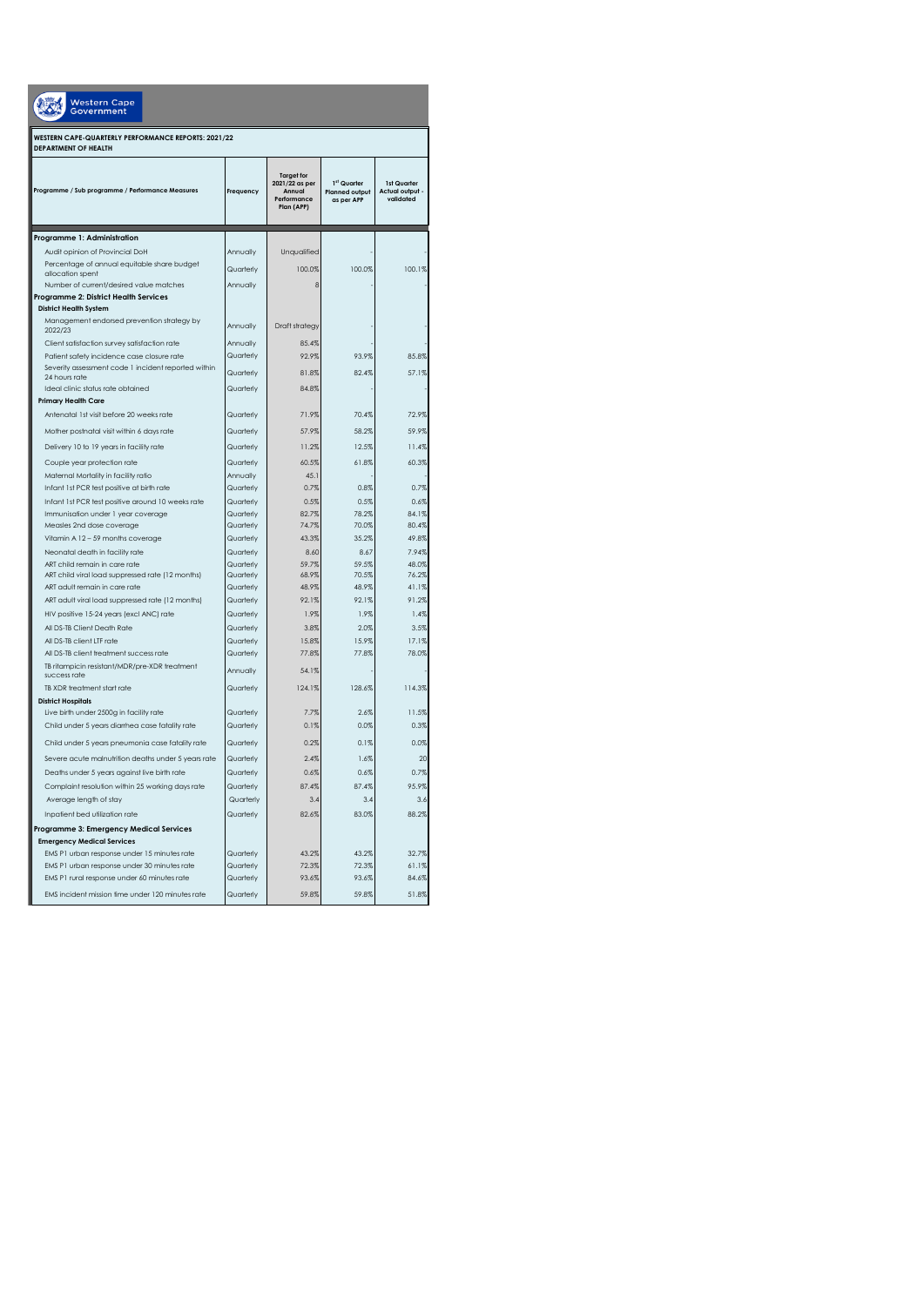| <b>Western Cape</b><br><b>Government</b>                                                     |                        |                                                                            |                                                    |                                             |  |  |
|----------------------------------------------------------------------------------------------|------------------------|----------------------------------------------------------------------------|----------------------------------------------------|---------------------------------------------|--|--|
| WESTERN CAPE-QUARTERLY PERFORMANCE REPORTS: 2021/22<br><b>DEPARTMENT OF HEALTH</b>           |                        |                                                                            |                                                    |                                             |  |  |
| Programme / Sub programme / Performance Measures                                             | Frequency              | <b>Target for</b><br>2021/22 as per<br>Annual<br>Performance<br>Plan (APP) | 1st Quarter<br><b>Planned output</b><br>as per APP | 1st Quarter<br>Actual output -<br>validated |  |  |
| Programme 1: Administration                                                                  |                        |                                                                            |                                                    |                                             |  |  |
| Audit opinion of Provincial DoH                                                              | Annually               | Unqualified                                                                |                                                    |                                             |  |  |
| Percentage of annual equitable share budget                                                  | Quarterly              | 100.0%                                                                     | 100.0%                                             | 100.1%                                      |  |  |
| allocation spent<br>Number of current/desired value matches                                  | Annually               | 8                                                                          |                                                    |                                             |  |  |
| Programme 2: District Health Services                                                        |                        |                                                                            |                                                    |                                             |  |  |
| <b>District Health System</b>                                                                |                        |                                                                            |                                                    |                                             |  |  |
| Management endorsed prevention strategy by<br>2022/23                                        | Annually               | Draft strategy                                                             |                                                    |                                             |  |  |
| Client satisfaction survey satisfaction rate                                                 | Annually               | 85.4%                                                                      |                                                    |                                             |  |  |
| Patient safety incidence case closure rate                                                   | Quarterly              | 92.9%                                                                      | 93.9%                                              | 85.8%                                       |  |  |
| Severity assessment code 1 incident reported within<br>24 hours rate                         | Quarterly              | 81.8%                                                                      | 82.4%                                              | 57.1%                                       |  |  |
| Ideal clinic status rate obtained                                                            | Quarterly              | 84.8%                                                                      |                                                    |                                             |  |  |
| <b>Primary Health Care</b>                                                                   |                        |                                                                            |                                                    |                                             |  |  |
| Antenatal 1st visit before 20 weeks rate                                                     | Quarterly              | 71.9%                                                                      | 70.4%                                              | 72.9%                                       |  |  |
| Mother postnatal visit within 6 days rate                                                    | Quarterly              | 57.9%                                                                      | 58.2%                                              | 59.9%                                       |  |  |
| Delivery 10 to 19 years in facility rate                                                     | Quarterly              | 11.2%                                                                      | 12.5%                                              | 11.4%                                       |  |  |
| Couple year protection rate                                                                  | Quarterly              | 60.5%                                                                      | 61.8%                                              | 60.3%                                       |  |  |
| Maternal Mortality in facility ratio                                                         | Annually               | 45.1                                                                       |                                                    |                                             |  |  |
| Infant 1st PCR test positive at birth rate                                                   | Quarterly              | 0.7%                                                                       | 0.8%                                               | 0.7%                                        |  |  |
| Infant 1st PCR test positive around 10 weeks rate                                            | Quarterly              | 0.5%                                                                       | 0.5%                                               | 0.6%                                        |  |  |
| Immunisation under 1 year coverage<br>Measles 2nd dose coverage                              | Quarterly<br>Quarterly | 82.7%<br>74.7%                                                             | 78.2%<br>70.0%                                     | 84.1%<br>80.4%                              |  |  |
| Vitamin A 12 - 59 months coverage                                                            | Quarterly              | 43.3%                                                                      | 35.2%                                              | 49.8%                                       |  |  |
| Neonatal death in facility rate                                                              | Quarterly              | 8.60                                                                       | 8.67                                               | 7.94%                                       |  |  |
| ART child remain in care rate                                                                | Quarterly              | 59.7%                                                                      | 59.5%                                              | 48.0%                                       |  |  |
| ART child viral load suppressed rate (12 months)                                             | Quarterly              | 68.9%                                                                      | 70.5%                                              | 76.2%                                       |  |  |
| ART adult remain in care rate                                                                | Quarterly<br>Quarterly | 48.9%<br>92.1%                                                             | 48.9%<br>92.1%                                     | 41.1%<br>91.2%                              |  |  |
| ART adult viral load suppressed rate (12 months)<br>HIV positive 15-24 years (excl ANC) rate | Quarterly              | 1.9%                                                                       | 1.9%                                               | 1.4%                                        |  |  |
| All DS-TB Client Death Rate                                                                  | Quarterly              | 3.8%                                                                       | 2.0%                                               | 3.5%                                        |  |  |
| All DS-TB client LTF rate                                                                    | Quarterly              | 15.8%                                                                      | 15.9%                                              | 17.1%                                       |  |  |
| All DS-TB client treatment success rate                                                      | Quarterly              | 77.8%                                                                      | 77.8%                                              | 78.0%                                       |  |  |
| TB ritampicin resistant/MDR/pre-XDR treatment<br>success rate                                | Annually               | 54.1%                                                                      |                                                    |                                             |  |  |
| TB XDR treatment start rate                                                                  | Quarterly              | 124.1%                                                                     | 128.6%                                             | 114.3%                                      |  |  |
| <b>District Hospitals</b>                                                                    |                        |                                                                            |                                                    |                                             |  |  |
| Live birth under 2500g in facility rate<br>Child under 5 years diarrhea case fatality rate   | Quarterly<br>Quarterly | 7.7%<br>0.1%                                                               | 2.6%<br>0.0%                                       | 11.5%<br>0.3%                               |  |  |
|                                                                                              |                        |                                                                            |                                                    |                                             |  |  |
| Child under 5 years pneumonia case fatality rate                                             | Quarterly              | 0.2%                                                                       | 0.1%                                               | 0.0%                                        |  |  |
| Severe acute malnutrition deaths under 5 years rate                                          | Quarterly              | 2.4%                                                                       | 1.6%                                               | 20                                          |  |  |
| Deaths under 5 years against live birth rate                                                 | Quarterly              | 0.6%<br>87.4%                                                              | 0.6%<br>87.4%                                      | 0.7%<br>95.9%                               |  |  |
| Complaint resolution within 25 working days rate<br>Average length of stay                   | Quarterly<br>Quarterly | 3.4                                                                        | 3.4                                                | 3.6                                         |  |  |
| Inpatient bed utilization rate                                                               | Quarterly              | 82.6%                                                                      | 83.0%                                              | 88.2%                                       |  |  |
| Programme 3: Emergency Medical Services                                                      |                        |                                                                            |                                                    |                                             |  |  |
| <b>Emergency Medical Services</b>                                                            |                        |                                                                            |                                                    |                                             |  |  |
| EMS P1 urban response under 15 minutes rate                                                  | Quarterly              | 43.2%                                                                      | 43.2%                                              | 32.7%                                       |  |  |
| EMS P1 urban response under 30 minutes rate                                                  | Quarterly              | 72.3%                                                                      | 72.3%                                              | 61.1%                                       |  |  |
| EMS P1 rural response under 60 minutes rate                                                  | Quarterly              | 93.6%                                                                      | 93.6%                                              | 84.6%                                       |  |  |
| EMS incident mission time under 120 minutes rate                                             | Quarterly              | 59.8%                                                                      | 59.8%                                              | 51.8%                                       |  |  |